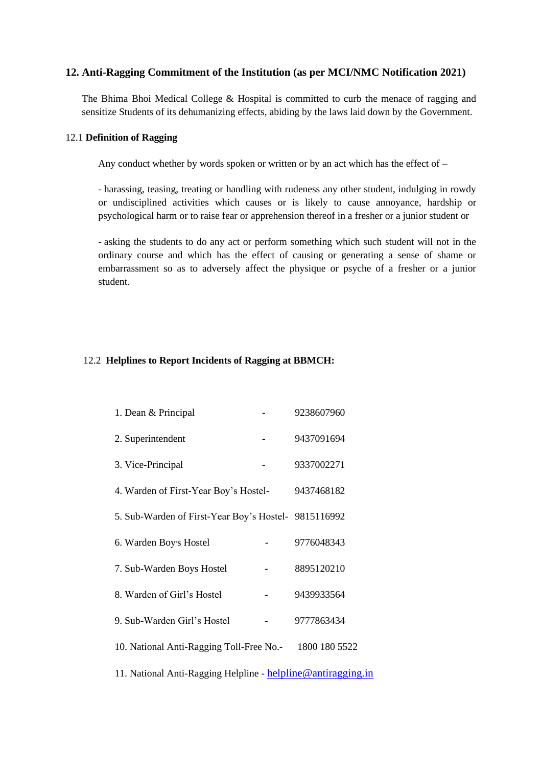# **12. Anti-Ragging Commitment of the Institution (as per MCI/NMC Notification 2021)**

The Bhima Bhoi Medical College & Hospital is committed to curb the menace of ragging and sensitize Students of its dehumanizing effects, abiding by the laws laid down by the Government.

### 12.1 **Definition of Ragging**

Any conduct whether by words spoken or written or by an act which has the effect of –

- harassing, teasing, treating or handling with rudeness any other student, indulging in rowdy or undisciplined activities which causes or is likely to cause annoyance, hardship or psychological harm or to raise fear or apprehension thereof in a fresher or a junior student or

- asking the students to do any act or perform something which such student will not in the ordinary course and which has the effect of causing or generating a sense of shame or embarrassment so as to adversely affect the physique or psyche of a fresher or a junior student.

## 12.2 **Helplines to Report Incidents of Ragging at BBMCH:**

| 1. Dean & Principal                                          |  | 9238607960 |
|--------------------------------------------------------------|--|------------|
| 2. Superintendent                                            |  | 9437091694 |
| 3. Vice-Principal                                            |  | 9337002271 |
| 4. Warden of First-Year Boy's Hostel-                        |  | 9437468182 |
| 5. Sub-Warden of First-Year Boy's Hostel- 9815116992         |  |            |
| 6. Warden Boy's Hostel                                       |  | 9776048343 |
| 7. Sub-Warden Boys Hostel                                    |  | 8895120210 |
| 8. Warden of Girl's Hostel                                   |  | 9439933564 |
| 9. Sub-Warden Girl's Hostel                                  |  | 9777863434 |
| 10. National Anti-Ragging Toll-Free No.- 1800 180 5522       |  |            |
| 11. National Anti-Ragging Helpline - helpline@antiragging.in |  |            |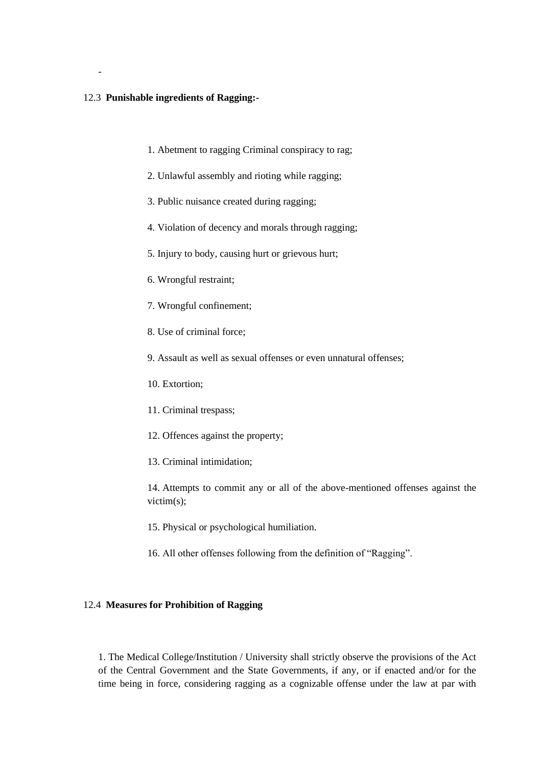### 12.3 **Punishable ingredients of Ragging:-**

-

- 1. Abetment to ragging Criminal conspiracy to rag;
- 2. Unlawful assembly and rioting while ragging;
- 3. Public nuisance created during ragging;
- 4. Violation of decency and morals through ragging;
- 5. Injury to body, causing hurt or grievous hurt;
- 6. Wrongful restraint;
- 7. Wrongful confinement;
- 8. Use of criminal force;
- 9. Assault as well as sexual offenses or even unnatural offenses;
- 10. Extortion;
- 11. Criminal trespass;
- 12. Offences against the property;
- 13. Criminal intimidation;

14. Attempts to commit any or all of the above-mentioned offenses against the victim(s);

- 15. Physical or psychological humiliation.
- 16. All other offenses following from the definition of "Ragging".

## 12.4 **Measures for Prohibition of Ragging**

1. The Medical College/Institution / University shall strictly observe the provisions of the Act of the Central Government and the State Governments, if any, or if enacted and/or for the time being in force, considering ragging as a cognizable offense under the law at par with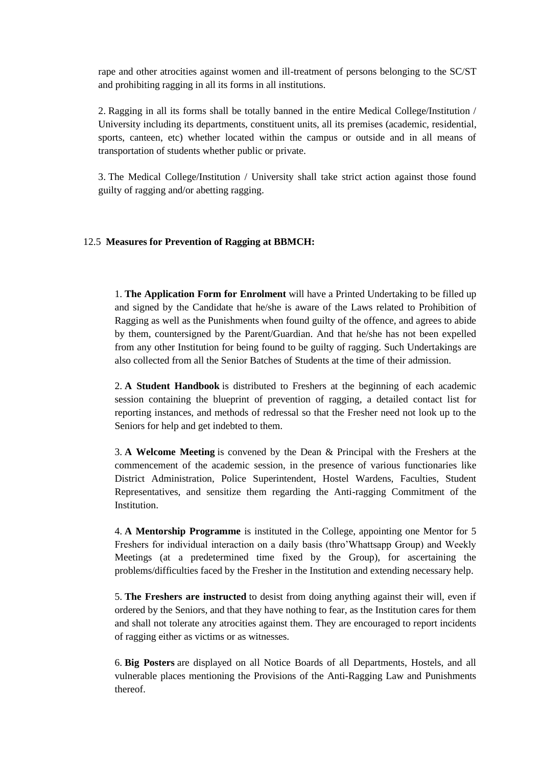rape and other atrocities against women and ill-treatment of persons belonging to the SC/ST and prohibiting ragging in all its forms in all institutions.

2. Ragging in all its forms shall be totally banned in the entire Medical College/Institution / University including its departments, constituent units, all its premises (academic, residential, sports, canteen, etc) whether located within the campus or outside and in all means of transportation of students whether public or private.

3. The Medical College/Institution / University shall take strict action against those found guilty of ragging and/or abetting ragging.

## 12.5 **Measures for Prevention of Ragging at BBMCH:**

1. **The Application Form for Enrolment** will have a Printed Undertaking to be filled up and signed by the Candidate that he/she is aware of the Laws related to Prohibition of Ragging as well as the Punishments when found guilty of the offence, and agrees to abide by them, countersigned by the Parent/Guardian. And that he/she has not been expelled from any other Institution for being found to be guilty of ragging. Such Undertakings are also collected from all the Senior Batches of Students at the time of their admission.

2. **A Student Handbook** is distributed to Freshers at the beginning of each academic session containing the blueprint of prevention of ragging, a detailed contact list for reporting instances, and methods of redressal so that the Fresher need not look up to the Seniors for help and get indebted to them.

3. **A Welcome Meeting** is convened by the Dean & Principal with the Freshers at the commencement of the academic session, in the presence of various functionaries like District Administration, Police Superintendent, Hostel Wardens, Faculties, Student Representatives, and sensitize them regarding the Anti-ragging Commitment of the **Institution** 

4. **A Mentorship Programme** is instituted in the College, appointing one Mentor for 5 Freshers for individual interaction on a daily basis (thro'Whattsapp Group) and Weekly Meetings (at a predetermined time fixed by the Group), for ascertaining the problems/difficulties faced by the Fresher in the Institution and extending necessary help.

5. **The Freshers are instructed** to desist from doing anything against their will, even if ordered by the Seniors, and that they have nothing to fear, as the Institution cares for them and shall not tolerate any atrocities against them. They are encouraged to report incidents of ragging either as victims or as witnesses.

6. **Big Posters** are displayed on all Notice Boards of all Departments, Hostels, and all vulnerable places mentioning the Provisions of the Anti-Ragging Law and Punishments thereof.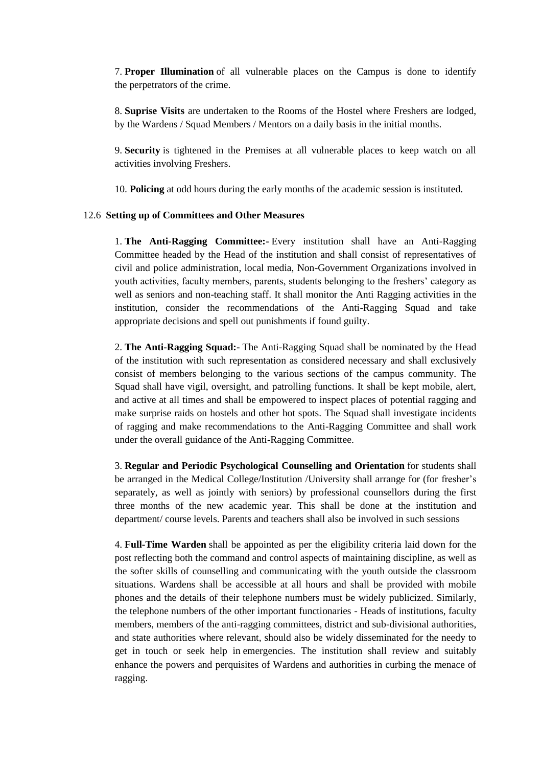7. **Proper Illumination** of all vulnerable places on the Campus is done to identify the perpetrators of the crime.

8. **Suprise Visits** are undertaken to the Rooms of the Hostel where Freshers are lodged, by the Wardens / Squad Members / Mentors on a daily basis in the initial months.

9. **Security** is tightened in the Premises at all vulnerable places to keep watch on all activities involving Freshers.

10. **Policing** at odd hours during the early months of the academic session is instituted.

## 12.6 **Setting up of Committees and Other Measures**

1. **The Anti-Ragging Committee:-** Every institution shall have an Anti-Ragging Committee headed by the Head of the institution and shall consist of representatives of civil and police administration, local media, Non-Government Organizations involved in youth activities, faculty members, parents, students belonging to the freshers' category as well as seniors and non-teaching staff. It shall monitor the Anti Ragging activities in the institution, consider the recommendations of the Anti-Ragging Squad and take appropriate decisions and spell out punishments if found guilty.

2. **The Anti-Ragging Squad:-** The Anti-Ragging Squad shall be nominated by the Head of the institution with such representation as considered necessary and shall exclusively consist of members belonging to the various sections of the campus community. The Squad shall have vigil, oversight, and patrolling functions. It shall be kept mobile, alert, and active at all times and shall be empowered to inspect places of potential ragging and make surprise raids on hostels and other hot spots. The Squad shall investigate incidents of ragging and make recommendations to the Anti-Ragging Committee and shall work under the overall guidance of the Anti-Ragging Committee.

3. **Regular and Periodic Psychological Counselling and Orientation** for students shall be arranged in the Medical College/Institution /University shall arrange for (for fresher's separately, as well as jointly with seniors) by professional counsellors during the first three months of the new academic year. This shall be done at the institution and department/ course levels. Parents and teachers shall also be involved in such sessions

4. **Full-Time Warden** shall be appointed as per the eligibility criteria laid down for the post reflecting both the command and control aspects of maintaining discipline, as well as the softer skills of counselling and communicating with the youth outside the classroom situations. Wardens shall be accessible at all hours and shall be provided with mobile phones and the details of their telephone numbers must be widely publicized. Similarly, the telephone numbers of the other important functionaries - Heads of institutions, faculty members, members of the anti-ragging committees, district and sub-divisional authorities, and state authorities where relevant, should also be widely disseminated for the needy to get in touch or seek help in emergencies. The institution shall review and suitably enhance the powers and perquisites of Wardens and authorities in curbing the menace of ragging.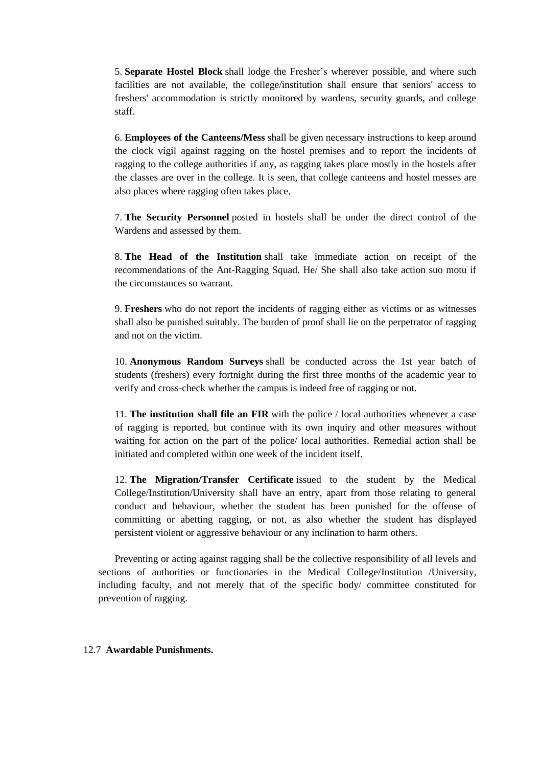5. **Separate Hostel Block** shall lodge the Fresher's wherever possible, and where such facilities are not available, the college/institution shall ensure that seniors' access to freshers' accommodation is strictly monitored by wardens, security guards, and college staff.

6. **Employees of the Canteens/Mess** shall be given necessary instructions to keep around the clock vigil against ragging on the hostel premises and to report the incidents of ragging to the college authorities if any, as ragging takes place mostly in the hostels after the classes are over in the college. It is seen, that college canteens and hostel messes are also places where ragging often takes place.

7. **The Security Personnel** posted in hostels shall be under the direct control of the Wardens and assessed by them.

8. **The Head of the Institution** shall take immediate action on receipt of the recommendations of the Ant-Ragging Squad. He/ She shall also take action suo motu if the circumstances so warrant.

9. **Freshers** who do not report the incidents of ragging either as victims or as witnesses shall also be punished suitably. The burden of proof shall lie on the perpetrator of ragging and not on the victim.

10. **Anonymous Random Surveys** shall be conducted across the 1st year batch of students (freshers) every fortnight during the first three months of the academic year to verify and cross-check whether the campus is indeed free of ragging or not.

11. **The institution shall file an FIR** with the police / local authorities whenever a case of ragging is reported, but continue with its own inquiry and other measures without waiting for action on the part of the police/ local authorities. Remedial action shall be initiated and completed within one week of the incident itself.

12. **The Migration/Transfer Certificate** issued to the student by the Medical College/Institution/University shall have an entry, apart from those relating to general conduct and behaviour, whether the student has been punished for the offense of committing or abetting ragging, or not, as also whether the student has displayed persistent violent or aggressive behaviour or any inclination to harm others.

Preventing or acting against ragging shall be the collective responsibility of all levels and sections of authorities or functionaries in the Medical College/Institution /University, including faculty, and not merely that of the specific body/ committee constituted for prevention of ragging.

### 12.7 **Awardable Punishments.**